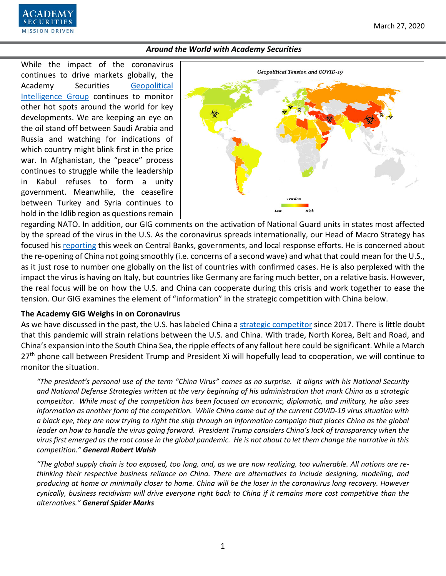

While the impact of the coronavirus continues to drive markets globally, the Academy Securities [Geopolitical](https://www.academysecurities.com/geopolitical/geopolitical-intelligence-group/)  [Intelligence Group](https://www.academysecurities.com/geopolitical/geopolitical-intelligence-group/) continues to monitor other hot spots around the world for key developments. We are keeping an eye on the oil stand off between Saudi Arabia and Russia and watching for indications of which country might blink first in the price war. In Afghanistan, the "peace" process continues to struggle while the leadership in Kabul refuses to form a unity government. Meanwhile, the ceasefire between Turkey and Syria continues to hold in the Idlib region as questions remain



regarding NATO. In addition, our GIG comments on the activation of National Guard units in states most affected by the spread of the virus in the U.S. As the coronavirus spreads internationally, our Head of Macro Strategy has focused his [reporting](https://www.academysecurities.com/macro-strategy-insights/) this week on Central Banks, governments, and local response efforts. He is concerned about the re-opening of China not going smoothly (i.e. concerns of a second wave) and what that could mean for the U.S., as it just rose to number one globally on the list of countries with confirmed cases. He is also perplexed with the impact the virus is having on Italy, but countries like Germany are faring much better, on a relative basis. However, the real focus will be on how the U.S. and China can cooperate during this crisis and work together to ease the tension. Our GIG examines the element of "information" in the strategic competition with China below.

#### **The Academy GIG Weighs in on Coronavirus**

As we have discussed in the past, the U.S. has labeled China a [strategic competitor](https://www.academysecurities.com/wordpress/wp-content/uploads/2019/12/A-D.I.M.E.-Framework-for-China-Trade-Strategic-Competition.pdf) since 2017. There is little doubt that this pandemic will strain relations between the U.S. and China. With trade, North Korea, Belt and Road, and China's expansion into the South China Sea, the ripple effects of any fallout here could be significant. While a March 27<sup>th</sup> phone call between President Trump and President Xi will hopefully lead to cooperation, we will continue to monitor the situation.

*"The president's personal use of the term "China Virus" comes as no surprise. It aligns with his National Security and National Defense Strategies written at the very beginning of his administration that mark China as a strategic competitor. While most of the competition has been focused on economic, diplomatic, and military, he also sees information as another form of the competition. While China came out of the current COVID-19 virus situation with a black eye, they are now trying to right the ship through an information campaign that places China as the global leader on how to handle the virus going forward. President Trump considers China's lack of transparency when the virus first emerged as the root cause in the global pandemic. He is not about to let them change the narrative in this competition." General Robert Walsh*

*"The global supply chain is too exposed, too long, and, as we are now realizing, too vulnerable. All nations are rethinking their respective business reliance on China. There are alternatives to include designing, modeling, and producing at home or minimally closer to home. China will be the loser in the coronavirus long recovery. However cynically, business recidivism will drive everyone right back to China if it remains more cost competitive than the alternatives." General Spider Marks*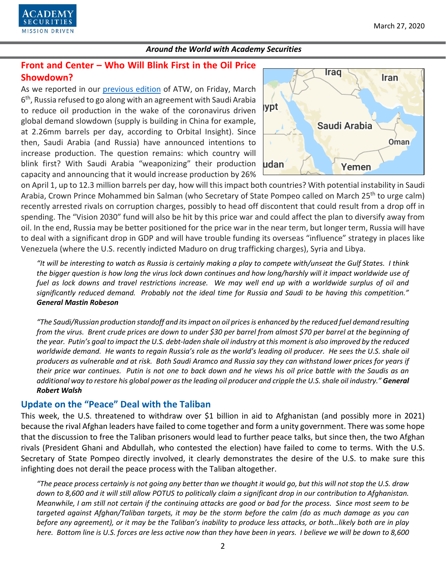

# **Front and Center – Who Will Blink First in the Oil Price Showdown?**

As we reported in our [previous edition](https://www.academysecurities.com/wordpress/wp-content/uploads/2020/03/Around-the-World-with-Academy-Securities-3-13-20.pdf) of ATW, on Friday, March 6<sup>th</sup>, Russia refused to go along with an agreement with Saudi Arabia to reduce oil production in the wake of the coronavirus driven global demand slowdown (supply is building in China for example, at 2.26mm barrels per day, according to Orbital Insight). Since then, Saudi Arabia (and Russia) have announced intentions to increase production. The question remains: which country will blink first? With Saudi Arabia "weaponizing" their production capacity and announcing that it would increase production by 26%



on April 1, up to 12.3 million barrels per day, how will this impact both countries? With potential instability in Saudi Arabia, Crown Prince Mohammed bin Salman (who Secretary of State Pompeo called on March 25<sup>th</sup> to urge calm) recently arrested rivals on corruption charges, possibly to head off discontent that could result from a drop off in spending. The "Vision 2030" fund will also be hit by this price war and could affect the plan to diversify away from oil. In the end, Russia may be better positioned for the price war in the near term, but longer term, Russia will have to deal with a significant drop in GDP and will have trouble funding its overseas "influence" strategy in places like Venezuela (where the U.S. recently indicted Maduro on drug trafficking charges), Syria and Libya.

*"It will be interesting to watch as Russia is certainly making a play to compete with/unseat the Gulf States. I think the bigger question is how long the virus lock down continues and how long/harshly will it impact worldwide use of fuel as lock downs and travel restrictions increase. We may well end up with a worldwide surplus of oil and significantly reduced demand. Probably not the ideal time for Russia and Saudi to be having this competition." General Mastin Robeson*

*"The Saudi/Russian production standoff and its impact on oil prices is enhanced by the reduced fuel demand resulting from the virus. Brent crude prices are down to under \$30 per barrel from almost \$70 per barrel at the beginning of the year. Putin's goal to impact the U.S. debt-laden shale oil industry at this moment is also improved by the reduced worldwide demand. He wants to regain Russia's role as the world's leading oil producer. He sees the U.S. shale oil producers as vulnerable and at risk. Both Saudi Aramco and Russia say they can withstand lower prices for years if their price war continues. Putin is not one to back down and he views his oil price battle with the Saudis as an additional way to restore his global power as the leading oil producer and cripple the U.S. shale oil industry." General Robert Walsh*

# **Update on the "Peace" Deal with the Taliban**

This week, the U.S. threatened to withdraw over \$1 billion in aid to Afghanistan (and possibly more in 2021) because the rival Afghan leaders have failed to come together and form a unity government. There was some hope that the discussion to free the Taliban prisoners would lead to further peace talks, but since then, the two Afghan rivals (President Ghani and Abdullah, who contested the election) have failed to come to terms. With the U.S. Secretary of State Pompeo directly involved, it clearly demonstrates the desire of the U.S. to make sure this infighting does not derail the peace process with the Taliban altogether.

*"The peace process certainly is not going any better than we thought it would go, but this will not stop the U.S. draw down to 8,600 and it will still allow POTUS to politically claim a significant drop in our contribution to Afghanistan. Meanwhile, I am still not certain if the continuing attacks are good or bad for the process. Since most seem to be targeted against Afghan/Taliban targets, it may be the storm before the calm (do as much damage as you can before any agreement), or it may be the Taliban's inability to produce less attacks, or both…likely both are in play here. Bottom line is U.S. forces are less active now than they have been in years. I believe we will be down to 8,600*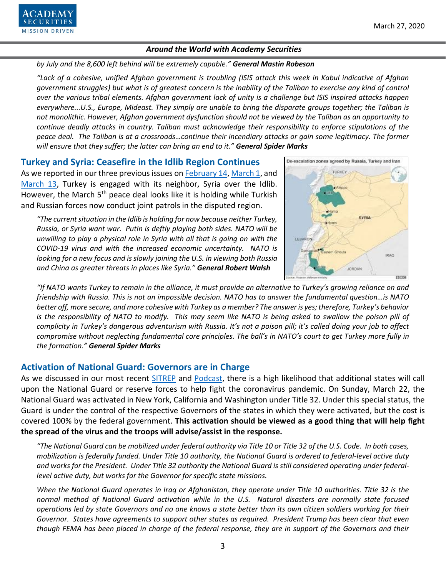

*by July and the 8,600 left behind will be extremely capable." General Mastin Robeson*

*"Lack of a cohesive, unified Afghan government is troubling (ISIS attack this week in Kabul indicative of Afghan government struggles) but what is of greatest concern is the inability of the Taliban to exercise any kind of control over the various tribal elements. Afghan government lack of unity is a challenge but ISIS inspired attacks happen everywhere...U.S., Europe, Mideast. They simply are unable to bring the disparate groups together; the Taliban is not monolithic. However, Afghan government dysfunction should not be viewed by the Taliban as an opportunity to continue deadly attacks in country. Taliban must acknowledge their responsibility to enforce stipulations of the peace deal. The Taliban is at a crossroads…continue their incendiary attacks or gain some legitimacy. The former will ensure that they suffer; the latter can bring an end to it." General Spider Marks* 

**Turkey and Syria: Ceasefire in the Idlib Region Continues** As we reported in our three previous issues on **February 14, March 1**, and [March 13,](https://www.academysecurities.com/wordpress/wp-content/uploads/2020/03/Around-the-World-with-Academy-Securities-3-13-20.pdf) Turkey is engaged with its neighbor, Syria over the Idlib. However, the March 5<sup>th</sup> peace deal looks like it is holding while Turkish and Russian forces now conduct joint patrols in the disputed region.

*"The current situation in the Idlib is holding for now because neither Turkey, Russia, or Syria want war. Putin is deftly playing both sides. NATO will be unwilling to play a physical role in Syria with all that is going on with the COVID-19 virus and with the increased economic uncertainty. NATO is looking for a new focus and is slowly joining the U.S. in viewing both Russia and China as greater threats in places like Syria." General Robert Walsh*



*"If NATO wants Turkey to remain in the alliance, it must provide an alternative to Turkey's growing reliance on and friendship with Russia. This is not an impossible decision. NATO has to answer the fundamental question…is NATO better off, more secure, and more cohesive with Turkey as a member? The answer is yes; therefore, Turkey's behavior is the responsibility of NATO to modify. This may seem like NATO is being asked to swallow the poison pill of complicity in Turkey's dangerous adventurism with Russia. It's not a poison pill; it's called doing your job to affect compromise without neglecting fundamental core principles. The ball's in NATO's court to get Turkey more fully in the formation." General Spider Marks*

# **Activation of National Guard: Governors are in Charge**

As we discussed in our most recent [SITREP](https://www.academysecurities.com/the-federalization-of-the-national-guard-and-the-stafford-act/) and [Podcast,](https://www.academysecurities.com/geopolitical/geopolitical-podcasts/) there is a high likelihood that additional states will call upon the National Guard or reserve forces to help fight the coronavirus pandemic. On Sunday, March 22, the National Guard was activated in New York, California and Washington under Title 32. Under this special status, the Guard is under the control of the respective Governors of the states in which they were activated, but the cost is covered 100% by the federal government. **This activation should be viewed as a good thing that will help fight the spread of the virus and the troops will advise/assist in the response.** 

*"The National Guard can be mobilized under federal authority via Title 10 or Title 32 of the U.S. Code. In both cases, mobilization is federally funded. Under Title 10 authority, the National Guard is ordered to federal-level active duty and works for the President. Under Title 32 authority the National Guard is still considered operating under federallevel active duty, but works for the Governor for specific state missions.* 

*When the National Guard operates in Iraq or Afghanistan, they operate under Title 10 authorities. Title 32 is the normal method of National Guard activation while in the U.S. Natural disasters are normally state focused operations led by state Governors and no one knows a state better than its own citizen soldiers working for their Governor. States have agreements to support other states as required. President Trump has been clear that even though FEMA has been placed in charge of the federal response, they are in support of the Governors and their*